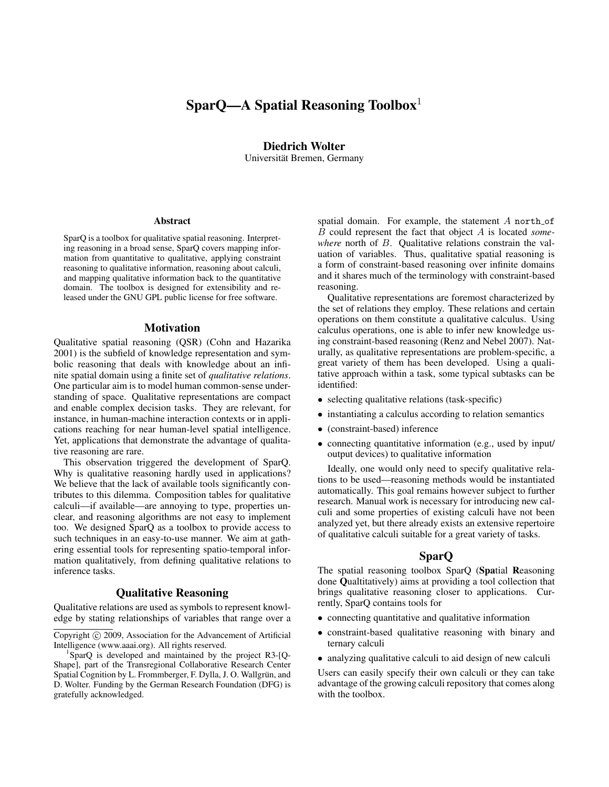# SparQ—A Spatial Reasoning Toolbox<sup>1</sup>

# Diedrich Wolter

Universität Bremen, Germany

#### Abstract

SparQ is a toolbox for qualitative spatial reasoning. Interpreting reasoning in a broad sense, SparQ covers mapping information from quantitative to qualitative, applying constraint reasoning to qualitative information, reasoning about calculi, and mapping qualitative information back to the quantitative domain. The toolbox is designed for extensibility and released under the GNU GPL public license for free software.

### Motivation

Qualitative spatial reasoning (QSR) (Cohn and Hazarika 2001) is the subfield of knowledge representation and symbolic reasoning that deals with knowledge about an infinite spatial domain using a finite set of *qualitative relations*. One particular aim is to model human common-sense understanding of space. Qualitative representations are compact and enable complex decision tasks. They are relevant, for instance, in human-machine interaction contexts or in applications reaching for near human-level spatial intelligence. Yet, applications that demonstrate the advantage of qualitative reasoning are rare.

This observation triggered the development of SparQ. Why is qualitative reasoning hardly used in applications? We believe that the lack of available tools significantly contributes to this dilemma. Composition tables for qualitative calculi—if available—are annoying to type, properties unclear, and reasoning algorithms are not easy to implement too. We designed SparQ as a toolbox to provide access to such techniques in an easy-to-use manner. We aim at gathering essential tools for representing spatio-temporal information qualitatively, from defining qualitative relations to inference tasks.

# Qualitative Reasoning

Qualitative relations are used as symbols to represent knowledge by stating relationships of variables that range over a spatial domain. For example, the statement  $A$  north of B could represent the fact that object A is located *somewhere* north of B. Qualitative relations constrain the valuation of variables. Thus, qualitative spatial reasoning is a form of constraint-based reasoning over infinite domains and it shares much of the terminology with constraint-based reasoning.

Qualitative representations are foremost characterized by the set of relations they employ. These relations and certain operations on them constitute a qualitative calculus. Using calculus operations, one is able to infer new knowledge using constraint-based reasoning (Renz and Nebel 2007). Naturally, as qualitative representations are problem-specific, a great variety of them has been developed. Using a qualitative approach within a task, some typical subtasks can be identified:

- selecting qualitative relations (task-specific)
- instantiating a calculus according to relation semantics
- (constraint-based) inference
- connecting quantitative information (e.g., used by input/ output devices) to qualitative information

Ideally, one would only need to specify qualitative relations to be used—reasoning methods would be instantiated automatically. This goal remains however subject to further research. Manual work is necessary for introducing new calculi and some properties of existing calculi have not been analyzed yet, but there already exists an extensive repertoire of qualitative calculi suitable for a great variety of tasks.

# SparQ

The spatial reasoning toolbox SparQ (Spatial Reasoning done Qualtitatively) aims at providing a tool collection that brings qualitative reasoning closer to applications. Currently, SparQ contains tools for

- connecting quantitative and qualitative information
- constraint-based qualitative reasoning with binary and ternary calculi
- analyzing qualitative calculi to aid design of new calculi

Users can easily specify their own calculi or they can take advantage of the growing calculi repository that comes along with the toolbox.

Copyright (c) 2009, Association for the Advancement of Artificial Intelligence (www.aaai.org). All rights reserved.

<sup>1</sup> SparQ is developed and maintained by the project R3-[Q-Shape], part of the Transregional Collaborative Research Center Spatial Cognition by L. Frommberger, F. Dylla, J. O. Wallgrün, and D. Wolter. Funding by the German Research Foundation (DFG) is gratefully acknowledged.